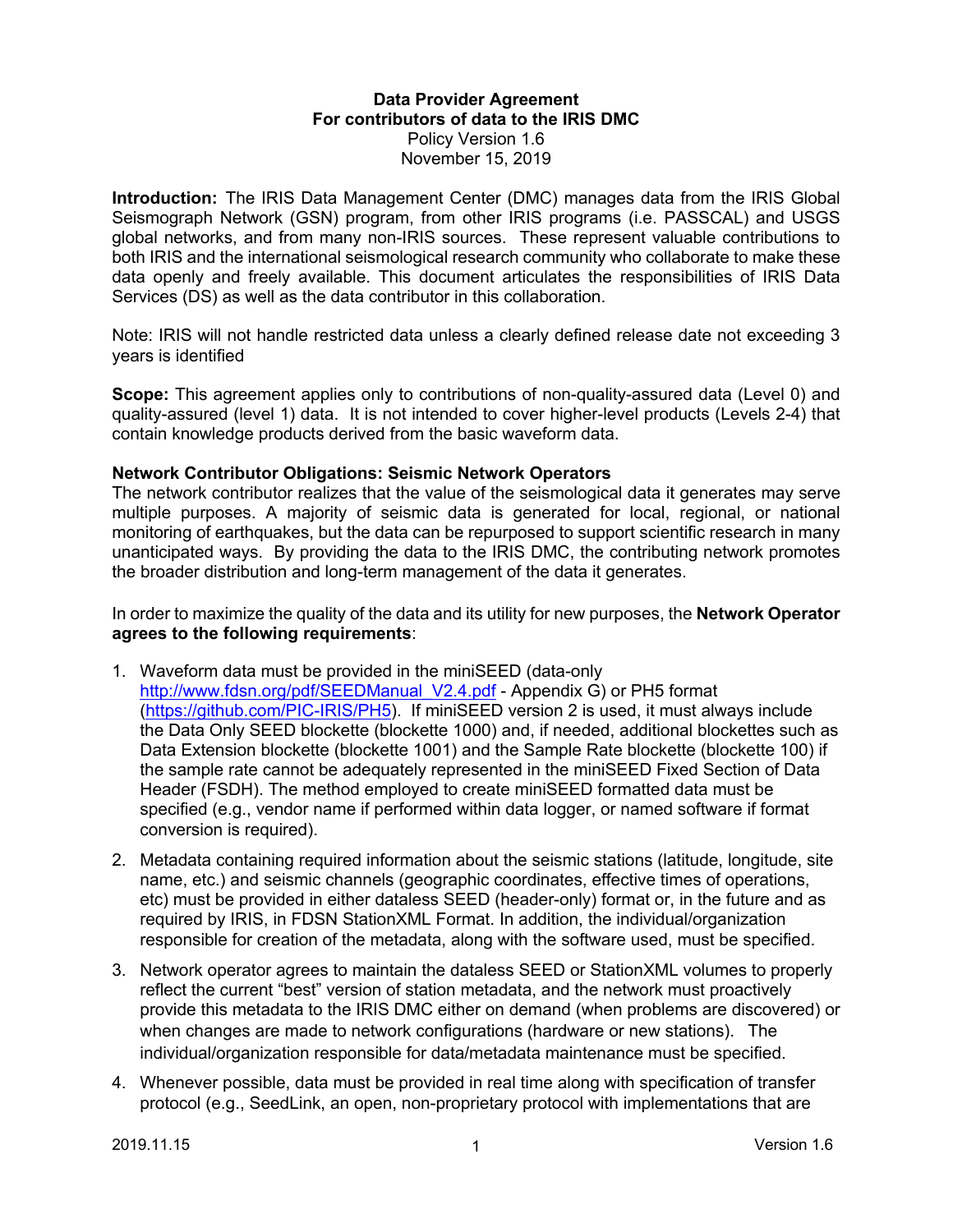### **Data Provider Agreement For contributors of data to the IRIS DMC** Policy Version 1.6 November 15, 2019

**Introduction:** The IRIS Data Management Center (DMC) manages data from the IRIS Global Seismograph Network (GSN) program, from other IRIS programs (i.e. PASSCAL) and USGS global networks, and from many non-IRIS sources. These represent valuable contributions to both IRIS and the international seismological research community who collaborate to make these data openly and freely available. This document articulates the responsibilities of IRIS Data Services (DS) as well as the data contributor in this collaboration.

Note: IRIS will not handle restricted data unless a clearly defined release date not exceeding 3 years is identified

**Scope:** This agreement applies only to contributions of non-quality-assured data (Level 0) and quality-assured (level 1) data. It is not intended to cover higher-level products (Levels 2-4) that contain knowledge products derived from the basic waveform data.

#### **Network Contributor Obligations: Seismic Network Operators**

The network contributor realizes that the value of the seismological data it generates may serve multiple purposes. A majority of seismic data is generated for local, regional, or national monitoring of earthquakes, but the data can be repurposed to support scientific research in many unanticipated ways. By providing the data to the IRIS DMC, the contributing network promotes the broader distribution and long-term management of the data it generates.

In order to maximize the quality of the data and its utility for new purposes, the **Network Operator agrees to the following requirements**:

- 1. Waveform data must be provided in the miniSEED (data-only http://www.fdsn.org/pdf/SEEDManual\_V2.4.pdf - Appendix G) or PH5 format (https://github.com/PIC-IRIS/PH5). If miniSEED version 2 is used, it must always include the Data Only SEED blockette (blockette 1000) and, if needed, additional blockettes such as Data Extension blockette (blockette 1001) and the Sample Rate blockette (blockette 100) if the sample rate cannot be adequately represented in the miniSEED Fixed Section of Data Header (FSDH). The method employed to create miniSEED formatted data must be specified (e.g., vendor name if performed within data logger, or named software if format conversion is required).
- 2. Metadata containing required information about the seismic stations (latitude, longitude, site name, etc.) and seismic channels (geographic coordinates, effective times of operations, etc) must be provided in either dataless SEED (header-only) format or, in the future and as required by IRIS, in FDSN StationXML Format. In addition, the individual/organization responsible for creation of the metadata, along with the software used, must be specified.
- 3. Network operator agrees to maintain the dataless SEED or StationXML volumes to properly reflect the current "best" version of station metadata, and the network must proactively provide this metadata to the IRIS DMC either on demand (when problems are discovered) or when changes are made to network configurations (hardware or new stations). The individual/organization responsible for data/metadata maintenance must be specified.
- 4. Whenever possible, data must be provided in real time along with specification of transfer protocol (e.g., SeedLink, an open, non-proprietary protocol with implementations that are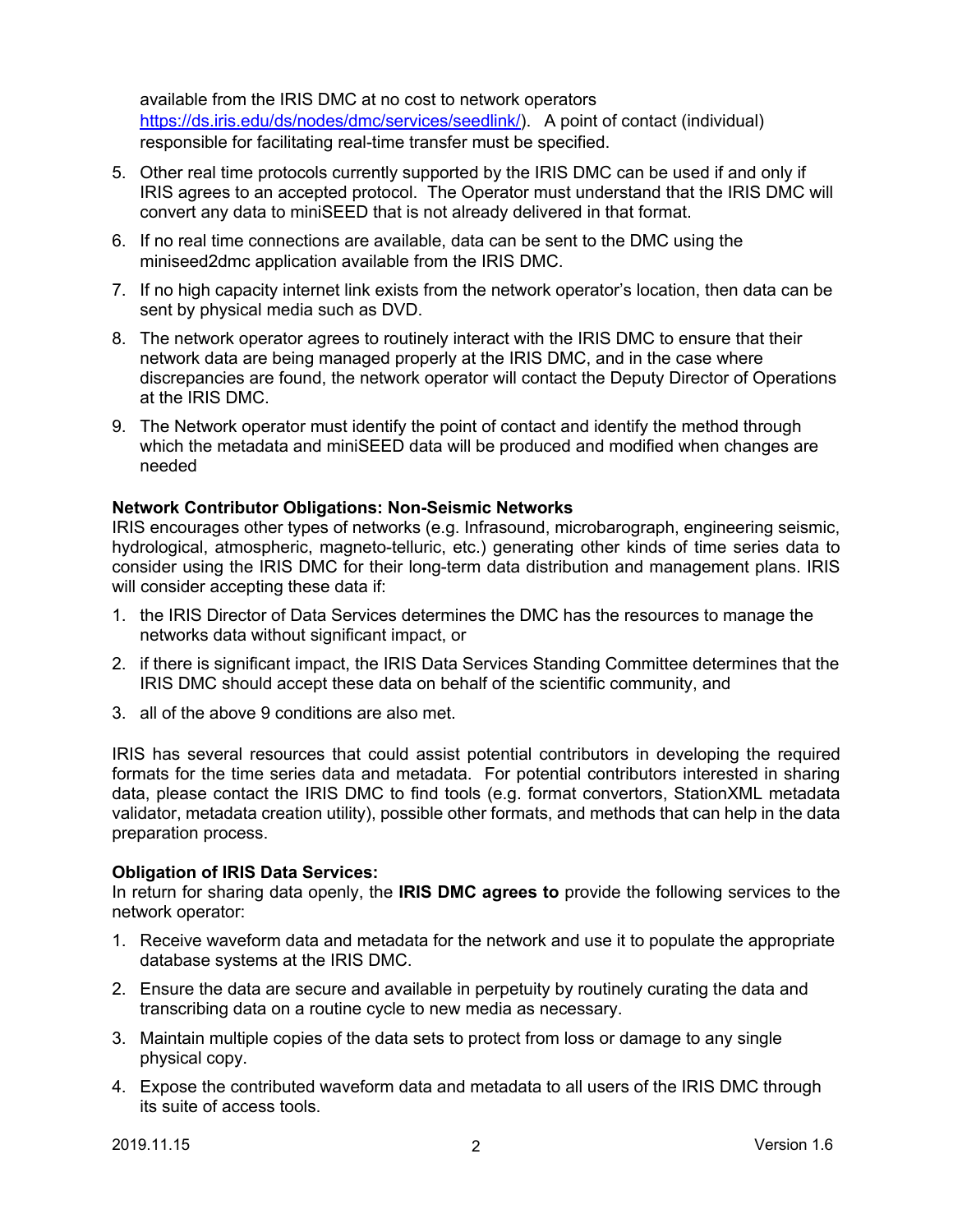available from the IRIS DMC at no cost to network operators https://ds.iris.edu/ds/nodes/dmc/services/seedlink/). A point of contact (individual) responsible for facilitating real-time transfer must be specified.

- 5. Other real time protocols currently supported by the IRIS DMC can be used if and only if IRIS agrees to an accepted protocol. The Operator must understand that the IRIS DMC will convert any data to miniSEED that is not already delivered in that format.
- 6. If no real time connections are available, data can be sent to the DMC using the miniseed2dmc application available from the IRIS DMC.
- 7. If no high capacity internet link exists from the network operator's location, then data can be sent by physical media such as DVD.
- 8. The network operator agrees to routinely interact with the IRIS DMC to ensure that their network data are being managed properly at the IRIS DMC, and in the case where discrepancies are found, the network operator will contact the Deputy Director of Operations at the IRIS DMC.
- 9. The Network operator must identify the point of contact and identify the method through which the metadata and miniSEED data will be produced and modified when changes are needed

# **Network Contributor Obligations: Non-Seismic Networks**

IRIS encourages other types of networks (e.g. Infrasound, microbarograph, engineering seismic, hydrological, atmospheric, magneto-telluric, etc.) generating other kinds of time series data to consider using the IRIS DMC for their long-term data distribution and management plans. IRIS will consider accepting these data if:

- 1. the IRIS Director of Data Services determines the DMC has the resources to manage the networks data without significant impact, or
- 2. if there is significant impact, the IRIS Data Services Standing Committee determines that the IRIS DMC should accept these data on behalf of the scientific community, and
- 3. all of the above 9 conditions are also met.

IRIS has several resources that could assist potential contributors in developing the required formats for the time series data and metadata. For potential contributors interested in sharing data, please contact the IRIS DMC to find tools (e.g. format convertors, StationXML metadata validator, metadata creation utility), possible other formats, and methods that can help in the data preparation process.

#### **Obligation of IRIS Data Services:**

In return for sharing data openly, the **IRIS DMC agrees to** provide the following services to the network operator:

- 1. Receive waveform data and metadata for the network and use it to populate the appropriate database systems at the IRIS DMC.
- 2. Ensure the data are secure and available in perpetuity by routinely curating the data and transcribing data on a routine cycle to new media as necessary.
- 3. Maintain multiple copies of the data sets to protect from loss or damage to any single physical copy.
- 4. Expose the contributed waveform data and metadata to all users of the IRIS DMC through its suite of access tools.